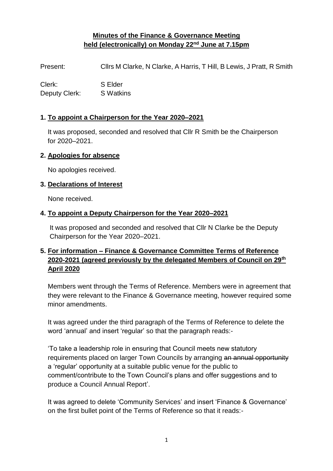# **Minutes of the Finance & Governance Meeting held (electronically) on Monday 22nd June at 7.15pm**

Present: Cllrs M Clarke, N Clarke, A Harris, T Hill, B Lewis, J Pratt, R Smith

Clerk: S Elder Deputy Clerk: S Watkins

### **1. To appoint a Chairperson for the Year 2020–2021**

 It was proposed, seconded and resolved that Cllr R Smith be the Chairperson for 2020–2021.

#### **2. Apologies for absence**

No apologies received.

#### **3. Declarations of Interest**

None received.

### **4. To appoint a Deputy Chairperson for the Year 2020–2021**

 It was proposed and seconded and resolved that Cllr N Clarke be the Deputy Chairperson for the Year 2020–2021.

# **5. For information – Finance & Governance Committee Terms of Reference 2020-2021 (agreed previously by the delegated Members of Council on 29th April 2020**

 Members went through the Terms of Reference. Members were in agreement that they were relevant to the Finance & Governance meeting, however required some minor amendments.

It was agreed under the third paragraph of the Terms of Reference to delete the word 'annual' and insert 'regular' so that the paragraph reads:-

'To take a leadership role in ensuring that Council meets new statutory requirements placed on larger Town Councils by arranging an annual opportunity a 'regular' opportunity at a suitable public venue for the public to comment/contribute to the Town Council's plans and offer suggestions and to produce a Council Annual Report'.

It was agreed to delete 'Community Services' and insert 'Finance & Governance' on the first bullet point of the Terms of Reference so that it reads:-